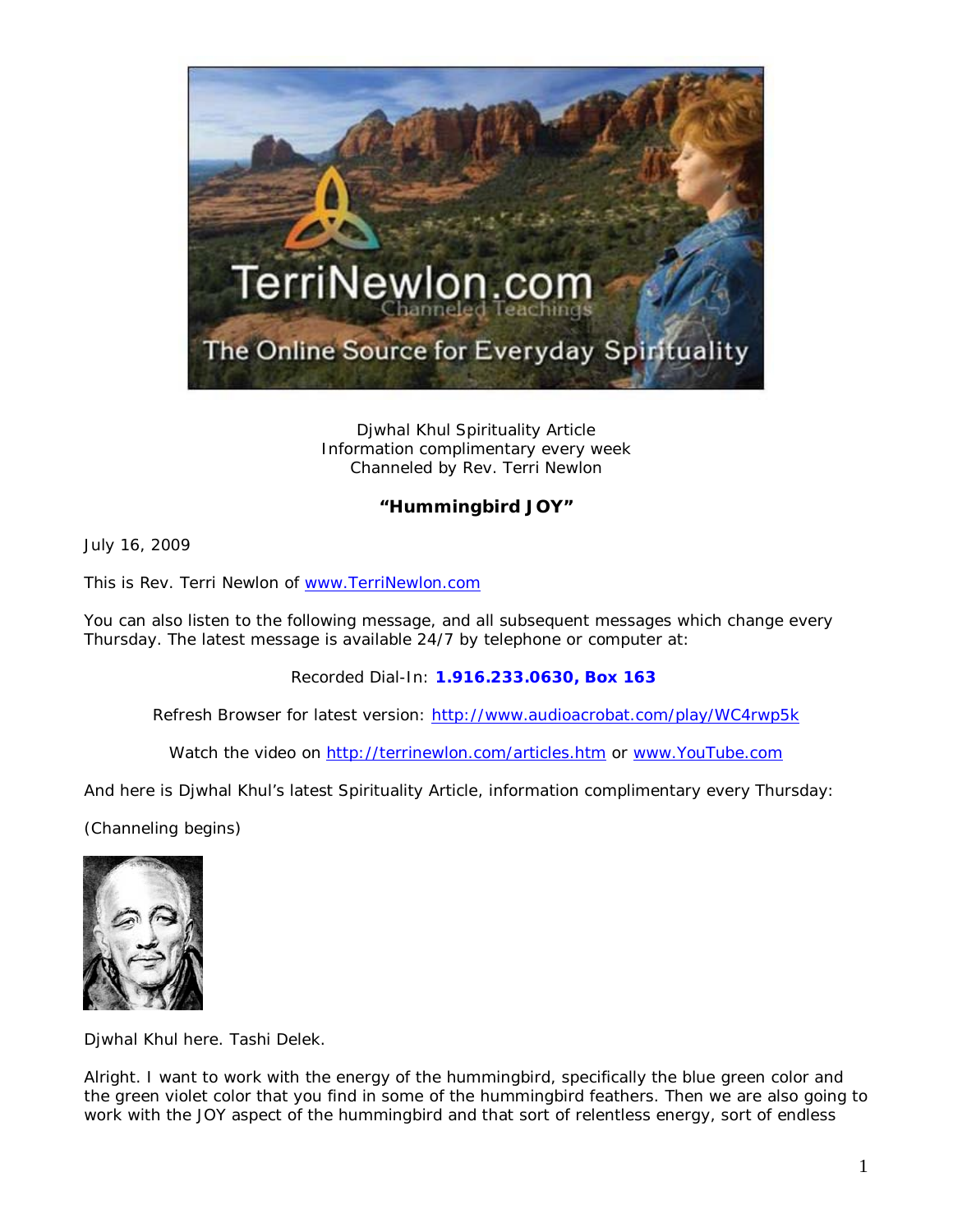

Djwhal Khul Spirituality Article Information complimentary every week Channeled by Rev. Terri Newlon

## **"Hummingbird JOY"**

July 16, 2009

This is Rev. Terri Newlon of [www.TerriNewlon.com](http://www.terrinewlon.com/)

You can also listen to the following message, and all subsequent messages which change every Thursday. The latest message is available 24/7 by telephone or computer at:

Recorded Dial-In: **1.916.233.0630, Box 163**

Refresh Browser for latest version: <http://www.audioacrobat.com/play/WC4rwp5k>

Watch the video on<http://terrinewlon.com/articles.htm> or [www.YouTube.com](http://www.youtube.com/)

And here is Djwhal Khul's latest Spirituality Article, information complimentary every Thursday:

(Channeling begins)



Djwhal Khul here. Tashi Delek.

Alright. I want to work with the energy of the hummingbird, specifically the blue green color and the green violet color that you find in some of the hummingbird feathers. Then we are also going to work with the JOY aspect of the hummingbird and that sort of relentless energy, sort of endless